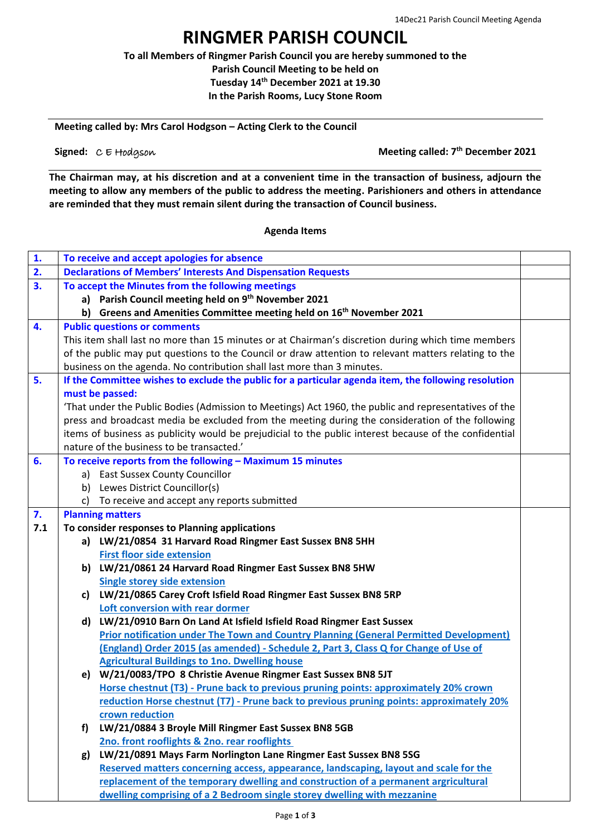## **RINGMER PARISH COUNCIL**

**To all Members of Ringmer Parish Council you are hereby summoned to the Parish Council Meeting to be held on Tuesday 14th December 2021 at 19.30 In the Parish Rooms, Lucy Stone Room**

**Meeting called by: Mrs Carol Hodgson – Acting Clerk to the Council**

**Signed:**  $C \in H$ odgson

**Meeting called: 7<sup>th</sup> December 2021** 

**The Chairman may, at his discretion and at a convenient time in the transaction of business, adjourn the meeting to allow any members of the public to address the meeting. Parishioners and others in attendance are reminded that they must remain silent during the transaction of Council business.**

## **Agenda Items**

| 1.  | To receive and accept apologies for absence                                                            |                                                                                                            |  |  |  |  |
|-----|--------------------------------------------------------------------------------------------------------|------------------------------------------------------------------------------------------------------------|--|--|--|--|
| 2.  | <b>Declarations of Members' Interests And Dispensation Requests</b>                                    |                                                                                                            |  |  |  |  |
| 3.  | To accept the Minutes from the following meetings                                                      |                                                                                                            |  |  |  |  |
|     |                                                                                                        | a) Parish Council meeting held on 9th November 2021                                                        |  |  |  |  |
|     |                                                                                                        | b) Greens and Amenities Committee meeting held on 16 <sup>th</sup> November 2021                           |  |  |  |  |
| 4.  |                                                                                                        | <b>Public questions or comments</b>                                                                        |  |  |  |  |
|     |                                                                                                        | This item shall last no more than 15 minutes or at Chairman's discretion during which time members         |  |  |  |  |
|     |                                                                                                        | of the public may put questions to the Council or draw attention to relevant matters relating to the       |  |  |  |  |
|     |                                                                                                        | business on the agenda. No contribution shall last more than 3 minutes.                                    |  |  |  |  |
| 5.  |                                                                                                        | If the Committee wishes to exclude the public for a particular agenda item, the following resolution       |  |  |  |  |
|     |                                                                                                        | must be passed:                                                                                            |  |  |  |  |
|     |                                                                                                        | 'That under the Public Bodies (Admission to Meetings) Act 1960, the public and representatives of the      |  |  |  |  |
|     | press and broadcast media be excluded from the meeting during the consideration of the following       |                                                                                                            |  |  |  |  |
|     | items of business as publicity would be prejudicial to the public interest because of the confidential |                                                                                                            |  |  |  |  |
|     | nature of the business to be transacted.'                                                              |                                                                                                            |  |  |  |  |
| 6.  |                                                                                                        | To receive reports from the following - Maximum 15 minutes                                                 |  |  |  |  |
|     |                                                                                                        | a) East Sussex County Councillor                                                                           |  |  |  |  |
|     | b)                                                                                                     | Lewes District Councillor(s)                                                                               |  |  |  |  |
|     | c)                                                                                                     | To receive and accept any reports submitted                                                                |  |  |  |  |
| 7.  | <b>Planning matters</b>                                                                                |                                                                                                            |  |  |  |  |
| 7.1 |                                                                                                        | To consider responses to Planning applications                                                             |  |  |  |  |
|     |                                                                                                        | a) LW/21/0854 31 Harvard Road Ringmer East Sussex BN8 5HH                                                  |  |  |  |  |
|     |                                                                                                        | <b>First floor side extension</b>                                                                          |  |  |  |  |
|     |                                                                                                        | b) LW/21/0861 24 Harvard Road Ringmer East Sussex BN8 5HW                                                  |  |  |  |  |
|     |                                                                                                        | <b>Single storey side extension</b>                                                                        |  |  |  |  |
|     | c)                                                                                                     | LW/21/0865 Carey Croft Isfield Road Ringmer East Sussex BN8 5RP                                            |  |  |  |  |
|     |                                                                                                        | Loft conversion with rear dormer<br>d) LW/21/0910 Barn On Land At Isfield Isfield Road Ringmer East Sussex |  |  |  |  |
|     |                                                                                                        | <b>Prior notification under The Town and Country Planning (General Permitted Development)</b>              |  |  |  |  |
|     |                                                                                                        | (England) Order 2015 (as amended) - Schedule 2, Part 3, Class Q for Change of Use of                       |  |  |  |  |
|     |                                                                                                        | <b>Agricultural Buildings to 1no. Dwelling house</b>                                                       |  |  |  |  |
|     |                                                                                                        | e) W/21/0083/TPO 8 Christie Avenue Ringmer East Sussex BN8 5JT                                             |  |  |  |  |
|     |                                                                                                        | Horse chestnut (T3) - Prune back to previous pruning points: approximately 20% crown                       |  |  |  |  |
|     |                                                                                                        | reduction Horse chestnut (T7) - Prune back to previous pruning points: approximately 20%                   |  |  |  |  |
|     |                                                                                                        | crown reduction                                                                                            |  |  |  |  |
|     | f)                                                                                                     | LW/21/0884 3 Broyle Mill Ringmer East Sussex BN8 5GB                                                       |  |  |  |  |
|     |                                                                                                        | 2no. front rooflights & 2no. rear rooflights                                                               |  |  |  |  |
|     | g)                                                                                                     | LW/21/0891 Mays Farm Norlington Lane Ringmer East Sussex BN8 5SG                                           |  |  |  |  |
|     |                                                                                                        | Reserved matters concerning access, appearance, landscaping, layout and scale for the                      |  |  |  |  |
|     |                                                                                                        | replacement of the temporary dwelling and construction of a permanent argricultural                        |  |  |  |  |
|     |                                                                                                        | dwelling comprising of a 2 Bedroom single storey dwelling with mezzanine                                   |  |  |  |  |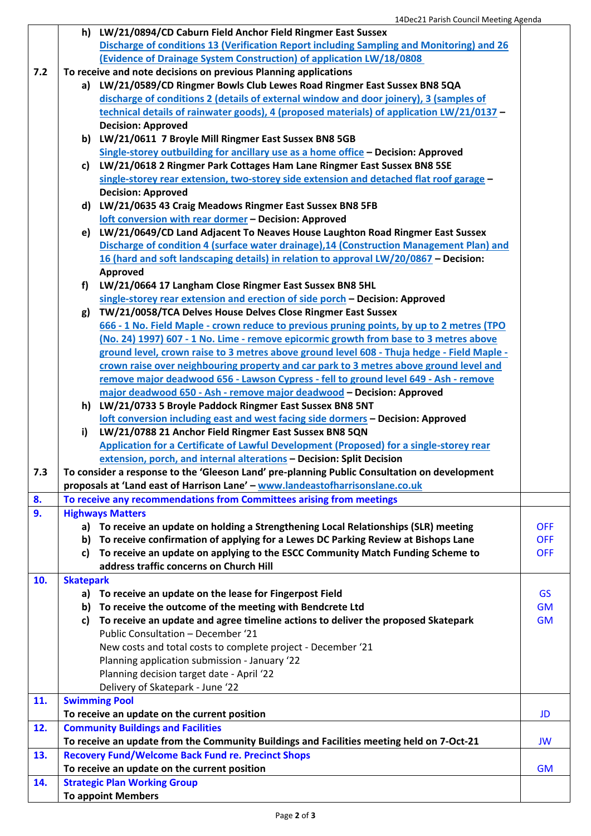|     |                  | h) LW/21/0894/CD Caburn Field Anchor Field Ringmer East Sussex                               |            |
|-----|------------------|----------------------------------------------------------------------------------------------|------------|
|     |                  | Discharge of conditions 13 (Verification Report including Sampling and Monitoring) and 26    |            |
|     |                  | (Evidence of Drainage System Construction) of application LW/18/0808                         |            |
| 7.2 |                  | To receive and note decisions on previous Planning applications                              |            |
|     |                  | a) LW/21/0589/CD Ringmer Bowls Club Lewes Road Ringmer East Sussex BN8 5QA                   |            |
|     |                  | discharge of conditions 2 (details of external window and door joinery), 3 (samples of       |            |
|     |                  | technical details of rainwater goods), 4 (proposed materials) of application LW/21/0137 -    |            |
|     |                  | <b>Decision: Approved</b>                                                                    |            |
|     |                  | b) LW/21/0611 7 Broyle Mill Ringmer East Sussex BN8 5GB                                      |            |
|     |                  | Single-storey outbuilding for ancillary use as a home office - Decision: Approved            |            |
|     |                  | c) LW/21/0618 2 Ringmer Park Cottages Ham Lane Ringmer East Sussex BN8 5SE                   |            |
|     |                  | single-storey rear extension, two-storey side extension and detached flat roof garage -      |            |
|     |                  | <b>Decision: Approved</b>                                                                    |            |
|     |                  | d) LW/21/0635 43 Craig Meadows Ringmer East Sussex BN8 5FB                                   |            |
|     |                  | loft conversion with rear dormer - Decision: Approved                                        |            |
|     |                  | e) LW/21/0649/CD Land Adjacent To Neaves House Laughton Road Ringmer East Sussex             |            |
|     |                  | Discharge of condition 4 (surface water drainage), 14 (Construction Management Plan) and     |            |
|     |                  | 16 (hard and soft landscaping details) in relation to approval LW/20/0867 - Decision:        |            |
|     |                  | Approved                                                                                     |            |
|     | f)               | LW/21/0664 17 Langham Close Ringmer East Sussex BN8 5HL                                      |            |
|     |                  | single-storey rear extension and erection of side porch - Decision: Approved                 |            |
|     |                  | TW/21/0058/TCA Delves House Delves Close Ringmer East Sussex                                 |            |
|     | g)               | 666 - 1 No. Field Maple - crown reduce to previous pruning points, by up to 2 metres (TPO    |            |
|     |                  | (No. 24) 1997) 607 - 1 No. Lime - remove epicormic growth from base to 3 metres above        |            |
|     |                  |                                                                                              |            |
|     |                  | ground level, crown raise to 3 metres above ground level 608 - Thuja hedge - Field Maple -   |            |
|     |                  | crown raise over neighbouring property and car park to 3 metres above ground level and       |            |
|     |                  | remove major deadwood 656 - Lawson Cypress - fell to ground level 649 - Ash - remove         |            |
|     |                  | major deadwood 650 - Ash - remove major deadwood - Decision: Approved                        |            |
|     | h)               | LW/21/0733 5 Broyle Paddock Ringmer East Sussex BN8 5NT                                      |            |
|     |                  | loft conversion including east and west facing side dormers - Decision: Approved             |            |
|     | i)               | LW/21/0788 21 Anchor Field Ringmer East Sussex BN8 5QN                                       |            |
|     |                  | Application for a Certificate of Lawful Development (Proposed) for a single-storey rear      |            |
|     |                  | extension, porch, and internal alterations - Decision: Split Decision                        |            |
| 7.3 |                  | To consider a response to the 'Gleeson Land' pre-planning Public Consultation on development |            |
|     |                  | proposals at 'Land east of Harrison Lane' - www.landeastofharrisonslane.co.uk                |            |
| 8.  |                  | To receive any recommendations from Committees arising from meetings                         |            |
| 9.  |                  | <b>Highways Matters</b>                                                                      |            |
|     |                  | a) To receive an update on holding a Strengthening Local Relationships (SLR) meeting         | <b>OFF</b> |
|     | b)               | To receive confirmation of applying for a Lewes DC Parking Review at Bishops Lane            | <b>OFF</b> |
|     | c)               | To receive an update on applying to the ESCC Community Match Funding Scheme to               | <b>OFF</b> |
|     |                  | address traffic concerns on Church Hill                                                      |            |
| 10. | <b>Skatepark</b> |                                                                                              |            |
|     |                  | a) To receive an update on the lease for Fingerpost Field                                    | <b>GS</b>  |
|     | b)               | To receive the outcome of the meeting with Bendcrete Ltd                                     | <b>GM</b>  |
|     | C)               | To receive an update and agree timeline actions to deliver the proposed Skatepark            | <b>GM</b>  |
|     |                  | Public Consultation - December '21                                                           |            |
|     |                  | New costs and total costs to complete project - December '21                                 |            |
|     |                  | Planning application submission - January '22                                                |            |
|     |                  | Planning decision target date - April '22                                                    |            |
|     |                  | Delivery of Skatepark - June '22                                                             |            |
| 11. |                  | <b>Swimming Pool</b>                                                                         |            |
|     |                  | To receive an update on the current position                                                 | JD         |
| 12. |                  | <b>Community Buildings and Facilities</b>                                                    |            |
|     |                  | To receive an update from the Community Buildings and Facilities meeting held on 7-Oct-21    | <b>JW</b>  |
| 13. |                  | <b>Recovery Fund/Welcome Back Fund re. Precinct Shops</b>                                    |            |
|     |                  | To receive an update on the current position                                                 | <b>GM</b>  |
| 14. |                  | <b>Strategic Plan Working Group</b>                                                          |            |
|     |                  |                                                                                              |            |
|     |                  | <b>To appoint Members</b>                                                                    |            |